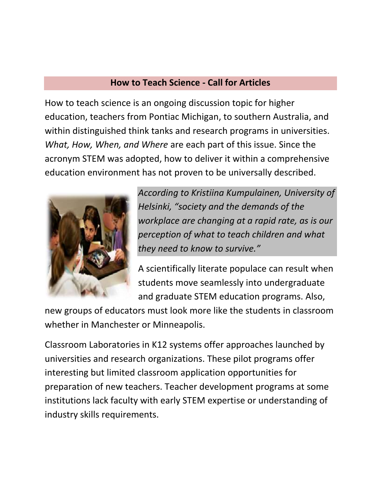## **How to Teach Science - Call for Articles**

How to teach science is an ongoing discussion topic for higher education, teachers from Pontiac Michigan, to southern Australia, and within distinguished think tanks and research programs in universities. *What, How, When, and Where* are each part of this issue. Since the acronym STEM was adopted, how to deliver it within a comprehensive education environment has not proven to be universally described.



*According to Kristiina Kumpulainen, University of Helsinki, "society and the demands of the workplace are changing at a rapid rate, as is our perception of what to teach children and what they need to know to survive."*

A scientifically literate populace can result when students move seamlessly into undergraduate and graduate STEM education programs. Also,

new groups of educators must look more like the students in classroom whether in Manchester or Minneapolis.

Classroom Laboratories in K12 systems offer approaches launched by universities and research organizations. These pilot programs offer interesting but limited classroom application opportunities for preparation of new teachers. Teacher development programs at some institutions lack faculty with early STEM expertise or understanding of industry skills requirements.